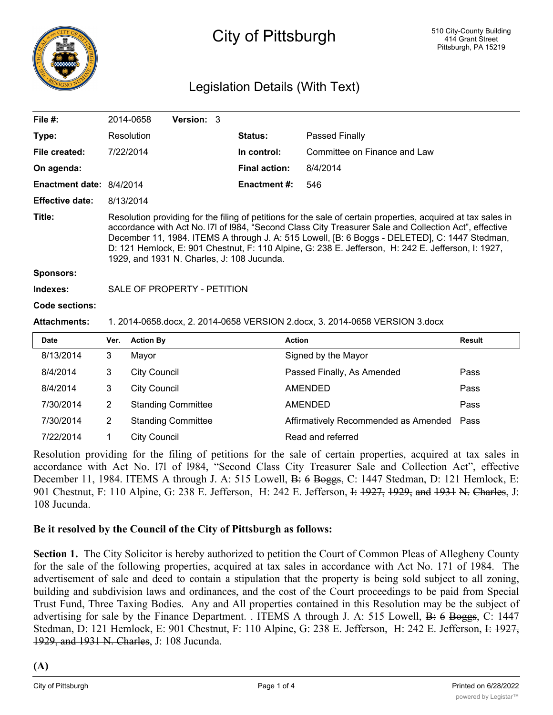

# City of Pittsburgh

## Legislation Details (With Text)

| File $#$ :               |                                                                                                                                                                                                                                                                                                                                                                                                                                                                             | Version: 3<br>2014-0658   |                      |                                      |               |
|--------------------------|-----------------------------------------------------------------------------------------------------------------------------------------------------------------------------------------------------------------------------------------------------------------------------------------------------------------------------------------------------------------------------------------------------------------------------------------------------------------------------|---------------------------|----------------------|--------------------------------------|---------------|
| Type:                    |                                                                                                                                                                                                                                                                                                                                                                                                                                                                             | Resolution                | <b>Status:</b>       | Passed Finally                       |               |
| File created:            |                                                                                                                                                                                                                                                                                                                                                                                                                                                                             | 7/22/2014                 | In control:          | Committee on Finance and Law         |               |
| On agenda:               |                                                                                                                                                                                                                                                                                                                                                                                                                                                                             |                           | <b>Final action:</b> | 8/4/2014                             |               |
| Enactment date: 8/4/2014 |                                                                                                                                                                                                                                                                                                                                                                                                                                                                             |                           | <b>Enactment #:</b>  | 546                                  |               |
| <b>Effective date:</b>   | 8/13/2014                                                                                                                                                                                                                                                                                                                                                                                                                                                                   |                           |                      |                                      |               |
| Title:                   | Resolution providing for the filing of petitions for the sale of certain properties, acquired at tax sales in<br>accordance with Act No. 171 of 1984, "Second Class City Treasurer Sale and Collection Act", effective<br>December 11, 1984. ITEMS A through J. A: 515 Lowell, [B: 6 Boggs - DELETED], C: 1447 Stedman,<br>D: 121 Hemlock, E: 901 Chestnut, F: 110 Alpine, G: 238 E. Jefferson, H: 242 E. Jefferson, I: 1927,<br>1929, and 1931 N. Charles, J: 108 Jucunda. |                           |                      |                                      |               |
| <b>Sponsors:</b>         |                                                                                                                                                                                                                                                                                                                                                                                                                                                                             |                           |                      |                                      |               |
| Indexes:                 | SALE OF PROPERTY - PETITION                                                                                                                                                                                                                                                                                                                                                                                                                                                 |                           |                      |                                      |               |
| Code sections:           |                                                                                                                                                                                                                                                                                                                                                                                                                                                                             |                           |                      |                                      |               |
| <b>Attachments:</b>      | 1. 2014-0658.docx, 2. 2014-0658 VERSION 2.docx, 3. 2014-0658 VERSION 3.docx                                                                                                                                                                                                                                                                                                                                                                                                 |                           |                      |                                      |               |
| <b>Date</b>              | Ver.                                                                                                                                                                                                                                                                                                                                                                                                                                                                        | <b>Action By</b>          |                      | <b>Action</b>                        | <b>Result</b> |
| 8/13/2014                | 3                                                                                                                                                                                                                                                                                                                                                                                                                                                                           | Mayor                     |                      | Signed by the Mayor                  |               |
| 8/4/2014                 | 3                                                                                                                                                                                                                                                                                                                                                                                                                                                                           | <b>City Council</b>       |                      | Passed Finally, As Amended           | Pass          |
| 8/4/2014                 | 3                                                                                                                                                                                                                                                                                                                                                                                                                                                                           | <b>City Council</b>       |                      | <b>AMENDED</b>                       | Pass          |
| 7/30/2014                | $\overline{2}$                                                                                                                                                                                                                                                                                                                                                                                                                                                              | <b>Standing Committee</b> |                      | <b>AMENDED</b>                       | Pass          |
| 7/30/2014                | $\overline{2}$                                                                                                                                                                                                                                                                                                                                                                                                                                                              | <b>Standing Committee</b> |                      | Affirmatively Recommended as Amended | Pass          |

7/22/2014 1 City Council Read and referred

Resolution providing for the filing of petitions for the sale of certain properties, acquired at tax sales in accordance with Act No. l7l of l984, "Second Class City Treasurer Sale and Collection Act", effective December 11, 1984. ITEMS A through J. A: 515 Lowell, B: 6 Boggs, C: 1447 Stedman, D: 121 Hemlock, E: 901 Chestnut, F: 110 Alpine, G: 238 E. Jefferson, H: 242 E. Jefferson, I: 1927, 1929, and 1931 N. Charles, J: 108 Jucunda.

#### **Be it resolved by the Council of the City of Pittsburgh as follows:**

**Section 1.** The City Solicitor is hereby authorized to petition the Court of Common Pleas of Allegheny County for the sale of the following properties, acquired at tax sales in accordance with Act No. 171 of 1984. The advertisement of sale and deed to contain a stipulation that the property is being sold subject to all zoning, building and subdivision laws and ordinances, and the cost of the Court proceedings to be paid from Special Trust Fund, Three Taxing Bodies. Any and All properties contained in this Resolution may be the subject of advertising for sale by the Finance Department. . ITEMS A through J. A: 515 Lowell, B: 6 Boggs, C: 1447 Stedman, D: 121 Hemlock, E: 901 Chestnut, F: 110 Alpine, G: 238 E. Jefferson, H: 242 E. Jefferson, I: 1927, 1929, and 1931 N. Charles, J: 108 Jucunda.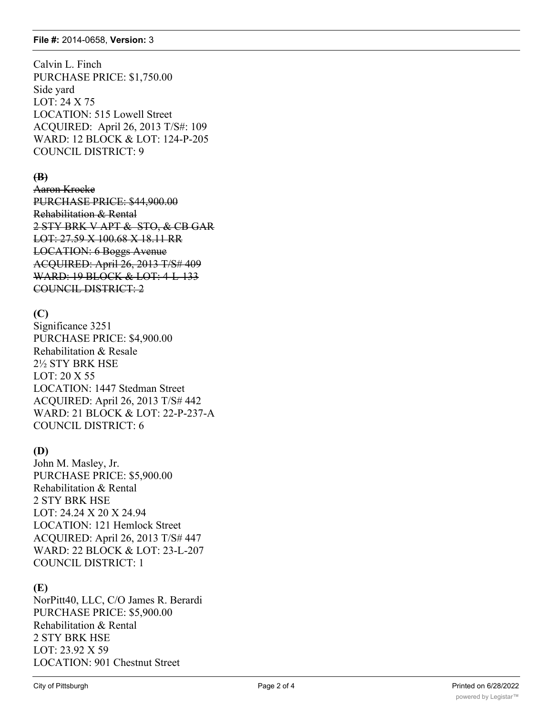Calvin L. Finch PURCHASE PRICE: \$1,750.00 Side yard LOT: 24 X 75 LOCATION: 515 Lowell Street ACQUIRED: April 26, 2013 T/S#: 109 WARD: 12 BLOCK & LOT: 124-P-205 COUNCIL DISTRICT: 9

## **(B)**

Aaron Krocke PURCHASE PRICE: \$44,900.00 Rehabilitation & Rental 2 STY BRK V APT & STO, & CB GAR LOT: 27.59 X 100.68 X 18.11 RR LOCATION: 6 Boggs Avenue ACQUIRED: April 26, 2013 T/S# 409 WARD: 19 BLOCK & LOT: 4-L-133 COUNCIL DISTRICT: 2

#### **(C)**

Significance 3251 PURCHASE PRICE: \$4,900.00 Rehabilitation & Resale 2½ STY BRK HSE LOT: 20 X 55 LOCATION: 1447 Stedman Street ACQUIRED: April 26, 2013 T/S# 442 WARD: 21 BLOCK & LOT: 22-P-237-A COUNCIL DISTRICT: 6

## **(D)**

John M. Masley, Jr. PURCHASE PRICE: \$5,900.00 Rehabilitation & Rental 2 STY BRK HSE LOT: 24.24 X 20 X 24.94 LOCATION: 121 Hemlock Street ACQUIRED: April 26, 2013 T/S# 447 WARD: 22 BLOCK & LOT: 23-L-207 COUNCIL DISTRICT: 1

#### **(E)**

NorPitt40, LLC, C/O James R. Berardi PURCHASE PRICE: \$5,900.00 Rehabilitation & Rental 2 STY BRK HSE LOT: 23.92 X 59 LOCATION: 901 Chestnut Street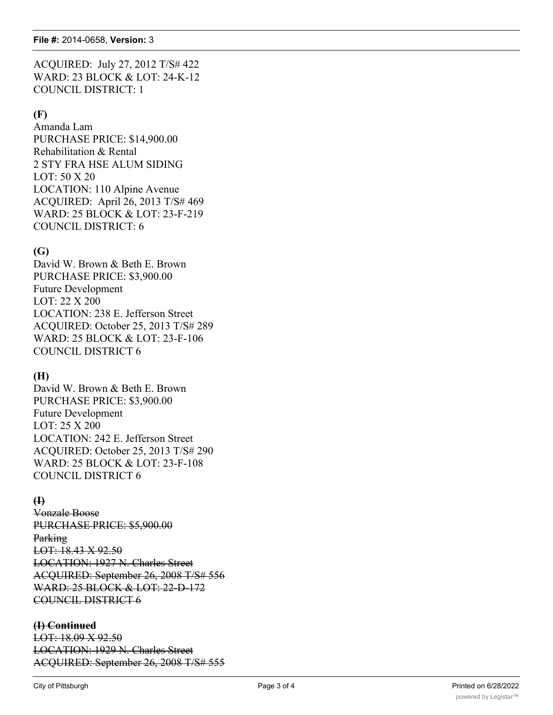ACQUIRED: July 27, 2012 T/S# 422 WARD: 23 BLOCK & LOT: 24-K-12 COUNCIL DISTRICT: 1

#### **(F)**

Amanda Lam PURCHASE PRICE: \$14,900.00 Rehabilitation & Rental 2 STY FRA HSE ALUM SIDING LOT: 50 X 20 LOCATION: 110 Alpine Avenue ACQUIRED: April 26, 2013 T/S# 469 WARD: 25 BLOCK & LOT: 23-F-219 COUNCIL DISTRICT: 6

## **(G)**

David W. Brown & Beth E. Brown PURCHASE PRICE: \$3,900.00 Future Development LOT: 22 X 200 LOCATION: 238 E. Jefferson Street ACQUIRED: October 25, 2013 T/S# 289 WARD: 25 BLOCK & LOT: 23-F-106 COUNCIL DISTRICT 6

#### **(H)**

David W. Brown & Beth E. Brown PURCHASE PRICE: \$3,900.00 Future Development LOT: 25 X 200 LOCATION: 242 E. Jefferson Street ACQUIRED: October 25, 2013 T/S# 290 WARD: 25 BLOCK & LOT: 23-F-108 COUNCIL DISTRICT 6

#### **(I)**

Vonzale Boose PURCHASE PRICE: \$5,900.00 **Parking** LOT: 18.43 X 92.50 LOCATION: 1927 N. Charles Street ACQUIRED: September 26, 2008 T/S# 556 WARD: 25 BLOCK & LOT: 22-D-172 COUNCIL DISTRICT 6

#### **(I) Continued**

LOT: 18.09 X 92.50 LOCATION: 1929 N. Charles Street ACQUIRED: September 26, 2008 T/S# 555